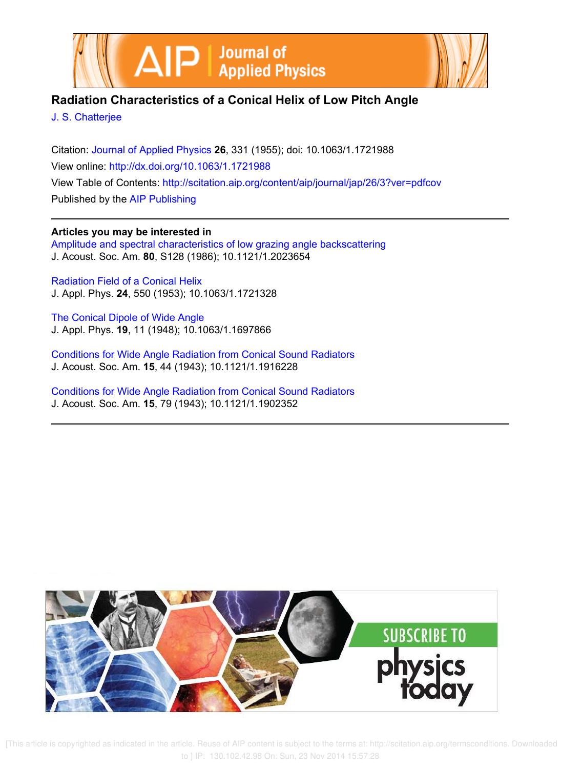



# **Radiation Characteristics of a Conical Helix of Low Pitch Angle**

J. S. Chatterjee

Citation: Journal of Applied Physics **26**, 331 (1955); doi: 10.1063/1.1721988 View online: http://dx.doi.org/10.1063/1.1721988 View Table of Contents: http://scitation.aip.org/content/aip/journal/jap/26/3?ver=pdfcov Published by the AIP Publishing

# **Articles you may be interested in**

Amplitude and spectral characteristics of low grazing angle backscattering J. Acoust. Soc. Am. **80**, S128 (1986); 10.1121/1.2023654

Radiation Field of a Conical Helix J. Appl. Phys. **24**, 550 (1953); 10.1063/1.1721328

The Conical Dipole of Wide Angle J. Appl. Phys. **19**, 11 (1948); 10.1063/1.1697866

Conditions for Wide Angle Radiation from Conical Sound Radiators J. Acoust. Soc. Am. **15**, 44 (1943); 10.1121/1.1916228

Conditions for Wide Angle Radiation from Conical Sound Radiators J. Acoust. Soc. Am. **15**, 79 (1943); 10.1121/1.1902352



 [This article is copyrighted as indicated in the article. Reuse of AIP content is subject to the terms at: http://scitation.aip.org/termsconditions. Downloaded to ] IP: 130.102.42.98 On: Sun, 23 Nov 2014 15:57:28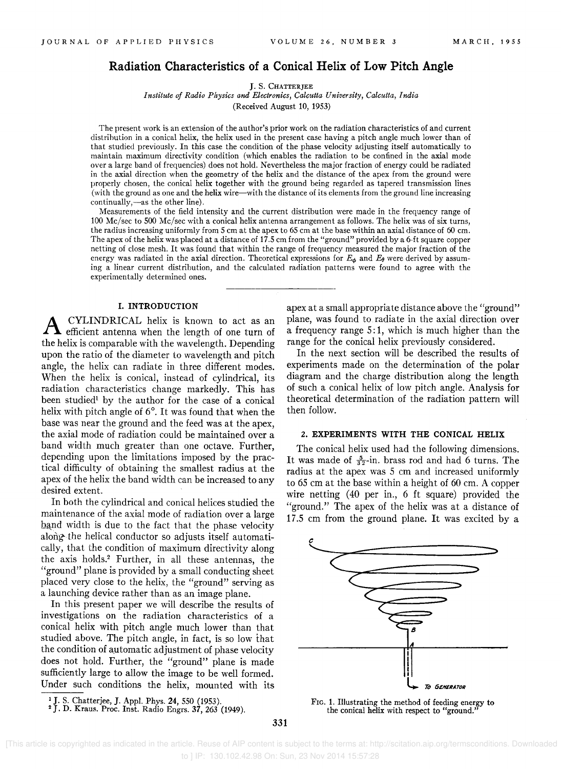# **Radiation Characteristics of a Conical Helix of Low Pitch Angle**

J. S. CHATTERJEE

*Institute of Radio Physics and Electronics, Calcutta University, Calcutta, India* 

(Received August 10, 1953)

The present work is an extension of the author's prior work on the radiation characteristics of and current distrihution in a conical helix, the helix used in the present case having a pitch angle much lower than of that studied previously. In this case the condition of the phase velocity adjusting itself automatically to maintain maximum directivity condition (which enables the radiation to be confined in the axial mode over a large band of frequencies) does not hold. Nevertheless the major fraction of energy could be radiated in the axial direction when the geometry of the helix and the distance of the apex from the ground were properly chosen, the conical helix together with the ground being regarded as tapered transmission lines (with the ground as one and the helix wire-with the distance of its elements from the ground line increasing continually,-as the other line).

Measurements of the field intensity and the current distribution were made in the frequency range of 100 Me/sec to 500 Me/sec with a conical helix antenna arrangement as follows. The helix was of six turns, the radius increasing uniformly from 5 cm at the apex to 65 em at the base within an axial distance of 60 em. The apex of the helix was placed at a distance of 17.5 cm from the "ground" provided by a 6-ft square copper netting of close mesh. It was found that within the range of frequency measured the major fraction of the energy was radiated in the axial direction. Theoretical expressions for  $E_{\phi}$  and  $E_{\theta}$  were derived by assuming a linear current distribution, and the calculated radiation patterns were found to agree with the experimentally determined ones.

# **1. INTRODUCTION**

A CYLINDRICAL helix is known to act as an efficient antenna when the length of one turn of the helix is comparable with the wavelength. Depending upon the ratio of the diameter to wavelength and pitch angle, the helix can radiate in three different modes. When the helix is conical, instead of cylindrical, its radiation characteristics change markedly. This has been studied<sup>1</sup> by the author for the case of a conical helix with pitch angle of 6°. It was found that when the base was near the ground and the feed was at the apex, the axial mode of radiation could be maintained over a band width much greater than one octave. Further, depending upon the limitations imposed by the practical difficulty of obtaining the smallest radius at the apex of the helix the band width can be increased to any desired extent.

In both the cylindrical and conical helices studied the maintenance of the axial mode of radiation over a large band width is due to the fact that the phase velocity along- the helical conductor so adjusts itself automatically, that the condition of maximum directivity along the axis holds.2 Further, in all these antennas, the "ground" plane is provided by a small conducting sheet placed very close to the helix, the "ground" serving as a launching device rather than as an image plane.

In this present paper we will describe the results of investigations on the radiation characteristics of a conical helix with pitch angle much lower than that studied above. The pitch angle, in fact, is so low that the condition of automatic adjustment of phase velocity does not hold. Further, the "ground" plane is made sufficiently large to allow the image to be well formed. Under such conditions the helix, mounted with its apex at a small appropriate distance above the "ground" plane, was found to radiate in the axial direction over a frequency range 5: 1, which is much higher than the range for the conical helix previously considered.

In the next section will be described the results of experiments made on the determination of the polar diagram and the charge distribution along the length of such a conical helix of low pitch angle. Analysis for theoretical determination of the radiation pattern will then follow.

## 2. **EXPERIMENTS WITH THE CONICAL HELIX**

The conical helix used had the following dimensions. It was made of  $\frac{5}{32}$ -in. brass rod and had 6 turns. The radius at the apex was 5 cm and increased uniformly to 65 cm at the base within a height of 60 cm. A copper wire netting (40 per in., 6 ft square) provided the "ground." The apex of the helix was at a distance of 17.5 cm from the ground plane. It was excited by a



FIG. 1. Illustrating the method of feeding energy to the conical helix with respect to "ground."

<sup>&</sup>lt;sup>1</sup> J. S. Chatterjee, J. Appl. Phys. 24, 550 (1953).<br><sup>2</sup> J. D. Kraus. Proc. Inst. Radio Engrs. 37, 263 (1949).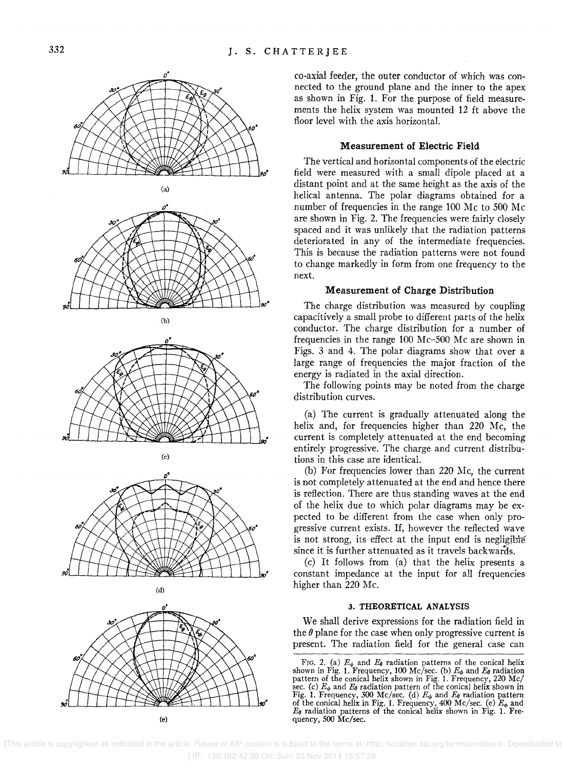

*o·* co-axial feeder, the outer conductor of which was connected to the ground plane and the inner to the apex as shown in Fig. 1. For the purpose of field measurements the helix system was mounted 12 ft above the floor level with the axis horizontal.

# Measurement of Electric Field

The vertical and horizontal components of the electric field were measured with a small dipole placed at a (a) distant point and at the same height as the axis of the helical antenna. The polar diagrams obtained for a number of frequencies in the range 100 Mc to 500 Mc are shown in Fig. 2. The frequencies were fairly closely spaced and it was unlikely that the radiation patterns deteriorated in any of the intermediate frequencies. This is because the radiation patterns were not found to change markedly in form from one frequency to the next.

### Measurement of Charge Distribution

The charge distribution was measured by coupling (b) capacitively a small probe to different parts of the helix conductor. The charge distribution for a number of frequencies in the range 100 Mc-500 Mc are shown in Figs. 3 and 4. The polar diagrams show that over a large range of frequencies the major fraction of the energy is radiated in the axial direction.

The following points may be noted from the charge distribution curves.

(a) The current is gradually attenuated along the helix and, for frequencies higher than 220 Mc, the current is completely attenuated at the end becoming entirely progressive. The charge and current distribu- (e) tions in this case are identical.

> (b) For frequencies lower than 220 Mc, the current is not completely attenuated at the end and hence there is reflection. There are thus standing waves at the end of the helix due to which polar diagrams may be expected to be different from the case when only progressive current exists. If, however the reflected wave is not strong, its effect at the input end is negligible since it is further attenuated as it travels backwards.

> (c) It follows from (a) that the helix presents a constant impedance at the input for all frequencies

#### 3. THEORETICAL ANALYSIS

We shall derive expressions for the radiation field in the  $\theta$  plane for the case when only progressive current is present. The radiation field for the general case can  $\frac{F(z)}{F(z)}$  (c)  $\frac{F}{E}$  and  $\frac{F}{E}$  radiation patterns of the capital belity

 [This article is copyrighted as indicated in the article. Reuse of AIP content is subject to the terms at: http://scitation.aip.org/termsconditions. Downloaded to ] IP: 130.102.42.98 On: Sun, 23 Nov 2014 15:57:28

FIG. 2. (a)  $E_{\phi}$  and  $E_{\theta}$  radiation patterns of the conical helix shown in Fig. 1. Frequency, 100 Mc/sec. (b)  $E_{\phi}$  and  $E_{\theta}$  radiation pattern of the conical helix shown in Fig. 1. Frequency, 220 Mc/ sec. (c)  $E_{\phi}$  and  $E_{\theta}$  radiation pattern of the conical helix shown in Fig. 1. Frequency, 300 Mc/sec. (d)  $E_{\phi}$  and  $E_{\theta}$  radiation pattern of the conical helix in Fig. 1. Frequency, 400 Mc/sec. (e)  $E_{\phi}$  and  $E_{\theta}$  radiation patterns of the conical helix shown in Fig. 1. Fre-(e)  $\frac{qu}{\cos 500 \text{ Mc/sec.}}$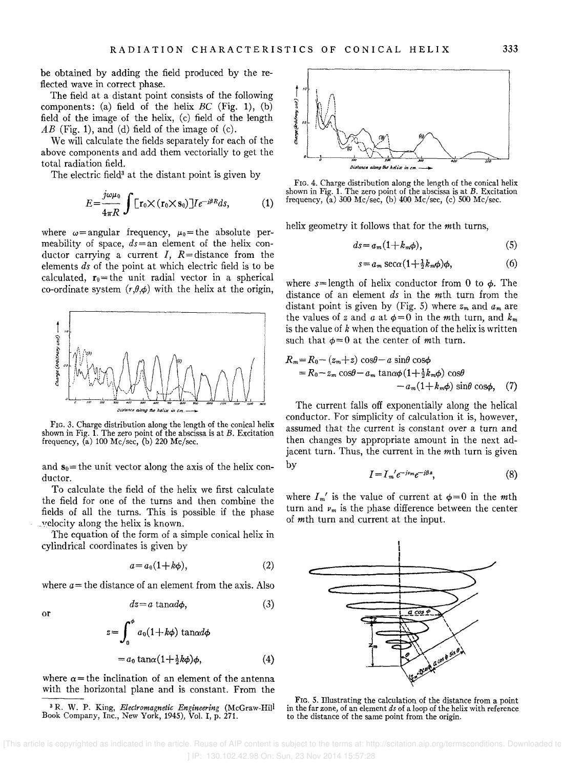be obtained by adding the field produced by the reflected wave in correct phase.

The field at a distant point consists of the following components: (a) field of the helix  $BC$  (Fig. 1), (b) field of the image of the helix, (c) field of the length  $AB$  (Fig. 1), and (d) field of the image of (c).

We will calculate the fields separately for each of the above components and add them vectorially to get the total radiation field.

The electric field<sup>3</sup> at the distant point is given by

$$
E = \frac{j\omega\mu_0}{4\pi R} \int \left[ \mathbf{r}_0 \times (\mathbf{r}_0 \times \mathbf{s}_0) \right] I e^{-j\beta R} ds, \tag{1}
$$

where  $\omega$ = angular frequency,  $\mu_0$ = the absolute permeability of space, *ds=an* element of the helix conductor carrying a current  $I$ ,  $R=$  distance from the elements *ds* of the point at which electric field is to be calculated,  $r_0$ = the unit radial vector in a spherical co-ordinate system  $(r, \theta, \phi)$  with the helix at the origin,



FIG. 3. Charge distribution along the length of the conical helix shown in Fig. 1. The zero point of the abscissa is at  $B$ . Excitation frequency, (a)  $100 \text{ Mc/sec}$ , (b)  $220 \text{ Mc/sec}$ .

and  $s_0$  = the unit vector along the axis of the helix conductor.

To calculate the field of the helix we first calculate the field for one of the turns and then combine the fields of all the turns. This is possible if the phase . "elocity along the helix is known.

The equation of the form of a simple conical helix in cylindrical coordinates is given by

$$
a = a_0(1 + k\phi), \tag{2}
$$

where  $a$ = the distance of an element from the axis. Also

or

$$
dz = a \tanh \phi, \tag{3}
$$

$$
z = \int_0^{\phi} a_0 (1 + k\phi) \tan \alpha d\phi
$$
  
=  $a_0 \tan \alpha (1 + \frac{1}{2}k\phi)\phi$ ,

where  $\alpha$ = the inclination of an element of the antenna with the horizontal plane and is constant. From the

<sup>3</sup>R. W. P. King, *Electromagnetic Engineering* (McGraw-Hill Book Company, Inc., New York, 1945), Vol. I, p. 271.



FIG. 4. Charge distribution along the length of the conical helix shown in Fig. 1. The zero point of the abscissa is at  $B$ . Excitation frequency, (a) 300 Me/sec, (b) 400 Me/sec, (c) 500 Me/sec.

helix geometry it follows that for the *mth* turns,

$$
ds = a_m(1 + k_m \phi), \tag{5}
$$

$$
s = a_m \sec \alpha (1 + \frac{1}{2} k_m \phi) \phi, \tag{6}
$$

where  $s =$  length of helix conductor from 0 to  $\phi$ . The distance of an element *ds* in the mth turn from the distant point is given by (Fig. 5) where  $z_m$  and  $a_m$  are the values of z and  $a$  at  $\phi = 0$  in the *m*th turn, and  $k_m$ is the value of *k* when the equation of the helix is written such that  $\phi=0$  at the center of mth turn.

$$
R_m = R_0 - (z_m + z) \cos\theta - a \sin\theta \cos\phi
$$
  
=  $R_0 - z_m \cos\theta - a_m \tan\alpha\phi (1 + \frac{1}{2}k_m\phi) \cos\theta$   
-  $a_m(1 + k_m\phi) \sin\theta \cos\phi$ , (7)

The current falls off exponentially along the helical conductor. For simplicity of calculation it is, however, assumed that the current is constant over a turn and then changes by appropriate amount in the next adjacent turn. Thus, the current in the mth turn is given by

$$
I = I_m' e^{-j\nu_m} e^{-j\beta s}, \tag{8}
$$

where  $I_m'$  is the value of current at  $\phi = 0$  in the *mth* turn and  $\nu_m$  is the phase difference between the center of *m*th turn and current at the input.



FIG. 5. Illustrating the calculation of the distance from a point in the far zone, of an element *ds* of a loop of the helix with reference to the distance of the same point from the origin.

(4)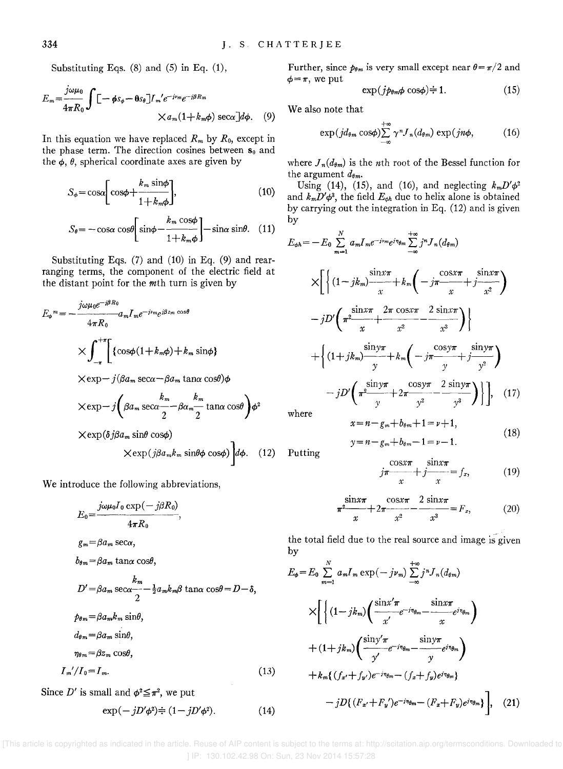Substituting Eqs. (8) and (5) in Eq. (1),

$$
E_m = \frac{j\omega\mu_0}{4\pi R_0} \int \left[ -\phi s_\phi - \theta s_\theta \right] I_m' e^{-j\nu_m} e^{-j\beta R_m}
$$
  
 
$$
\times a_m (1 + k_m \phi) \sec \alpha \left[ d\phi \right]. \tag{9}
$$

In this equation we have replaced  $R_m$  by  $R_0$ , except in the phase term. The direction cosines between  $s_0$  and the  $\phi$ ,  $\theta$ , spherical coordinate axes are given by

$$
S_{\phi} = \cos\alpha \bigg[ \cos\phi + \frac{k_m \sin\phi}{1 + k_m \phi} \bigg],\tag{10}
$$

$$
S_{\theta} = -\cos\alpha \cos\theta \left[ \sin\phi - \frac{k_m \cos\phi}{1 + k_m \phi} \right] - \sin\alpha \sin\theta. \quad (11)
$$

Substituting Eqs. (7) and (10) in Eq. (9) and rearranging terms, the component of the electric field at the distant point for the  $m$ th turn is given by

$$
E_{\phi}{}^{m} = -\frac{j\omega\mu_{0}e^{-j\beta R_{0}}}{4\pi R_{0}} a_{m}I_{m}e^{-j\nu_{m}}e^{j\beta z_{m}\cos\theta}
$$
\n
$$
\times \int_{-\pi}^{+\pi} \left\{ \left\{ \cos\phi(1+k_{m}\phi) + k_{m}\sin\phi \right\} \right.
$$
\n
$$
\times \exp{-j(\beta a_{m}\sec\alpha - \beta a_{m}\tan\alpha\cos\theta)}\phi
$$
\n
$$
\times \exp{-j(\beta a_{m}\sec\alpha - \beta a_{m}\frac{k_{m}}{2} \tan\alpha\cos\theta)}\phi^{2}
$$
\n
$$
\times \exp(\delta j\beta a_{m}\sin\theta\cos\phi)
$$
\n
$$
\times \exp(j\beta a_{m}k_{m}\sin\theta\cos\phi)\right] d\phi. (12)
$$

We introduce the following abbreviations,

$$
E_0 = \frac{j\omega\mu_0 I_0 \exp(-j\beta R_0)}{4\pi R_0},
$$
  
\n
$$
g_m = \beta a_m \sec\alpha,
$$
  
\n
$$
b_{\theta m} = \beta a_m \tan\alpha \cos\theta,
$$
  
\n
$$
D' = \beta a_m \sec\alpha - \frac{k_m}{2} a_m k_m \beta \tan\alpha \cos\theta = D - \delta,
$$
  
\n
$$
\rho_{\theta m} = \beta a_m k_m \sin\theta,
$$
  
\n
$$
d_{\theta m} = \beta a_m \sin\theta,
$$
  
\n
$$
\eta_{\theta m} = \beta z_m \cos\theta,
$$
  
\n
$$
I_m'/I_0 = I_m.
$$
  
\n(13)  
\nSince  $D'$  is small and  $\phi^2 \leq \pi^2$ , we put

 $\exp(-jD'\phi^2) \div (1 - jD'\phi^2)$ .

Further, since 
$$
p_{\theta m}
$$
 is very small except near  $\theta = \pi/2$  and  $\phi = \pi$ , we put

$$
\exp(j p_{\theta m} \phi \cos \phi) \div 1. \tag{15}
$$

We also note that

$$
\exp(j d_{\theta m} \cos \phi) \sum_{-\infty}^{+\infty} \gamma^n J_n(d_{\theta m}) \exp(j n \phi, \qquad (16)
$$

where  $J_n(d_{\theta_m})$  is the *n*th root of the Bessel function for the argument  $d_{\theta m}$ .

Using (14), (15), and (16), and neglecting  $k_m D' \phi^2$ and  $k_m \overline{D' \phi^3}$ , the field  $E_{\phi h}$  due to helix alone is obtained by carrying out the integration in Eq.  $(12)$  and is given by

$$
E_{\phi h} = -E_0 \sum_{m=1}^{N} a_m I_m e^{-j\nu_m} e^{j\eta_{\theta m}} \sum_{-\infty}^{+\infty} j^n J_n(d_{\theta m})
$$
  
\n
$$
\times \left[ \left\{ (1 - j k_m) \frac{\sin x \pi}{x} + k_m \left( -j \frac{\cos x \pi}{x} + j \frac{\sin x \pi}{x^2} \right) - j D' \left( \pi^2 \frac{\sin x \pi}{x} + \frac{2\pi \cos x \pi}{x^2} - \frac{2\sin x \pi}{x^3} \right) \right\}
$$
  
\n
$$
+ \left\{ (1 + j k_m) \frac{\sin y \pi}{y} + k_m \left( -j \frac{\cos y \pi}{y} + j \frac{\sin y \pi}{y^2} \right) - j D' \left( \pi^2 \frac{\sin y \pi}{y} + 2 \pi \frac{\cos y \pi}{y^2} - \frac{2\sin y \pi}{y^3} \right) \right\}, \quad (17)
$$

 $x = n - g_m + b_{\theta m} + 1 = \nu + 1$ .

where

$$
y = n - g_m + b_{\theta m} - 1 = \nu - 1.
$$
 (18)

Putting

$$
j\pi \frac{\cos x\pi}{x} + j \frac{\sin x\pi}{x} = f_x, \tag{19}
$$

$$
\frac{\sin x\pi}{x} + 2\pi \frac{\cos x\pi}{x^2} - \frac{2\sin x\pi}{x^3} = F_x,\tag{20}
$$

the total field due to the real source and image is given by

$$
E_{\phi} = E_{0} \sum_{m=1}^{N} a_{m} I_{m} \exp(-j \nu_{m}) \sum_{-\infty}^{+\infty} j^{n} J_{n}(d_{\theta m})
$$
  
\n
$$
\times \left[ \left\{ (1 - j k_{m}) \left( \frac{\sin x' \pi}{x'} e^{-j \eta_{\theta m}} - \frac{\sin x \pi}{x} e^{j \eta_{\theta m}} \right) + (1 + j k_{m}) \left( \frac{\sin y' \pi}{y'} e^{-j \eta_{\theta m}} - \frac{\sin y \pi}{y} e^{j \eta_{\theta m}} \right) + k_{m} \left( (f_{x'} + f_{y'}) e^{-j \eta_{\theta m}} - (f_{x} + f_{y}) e^{j \eta_{\theta m}} \right) - j D \left( (F_{x'} + F_{y'}) e^{-j \eta_{\theta m}} - (F_{x} + F_{y}) e^{j \eta_{\theta m}} \right), \quad (21)
$$

[This article is copyrighted as indicated in the article. Reuse of AIP content is subject to the terms at: http://scitation.aip.org/termsconditions. Downloaded to 1 IP: 130.102.42.98 On: Sun. 23 Nov 2014 15:57:28

 $(14)$